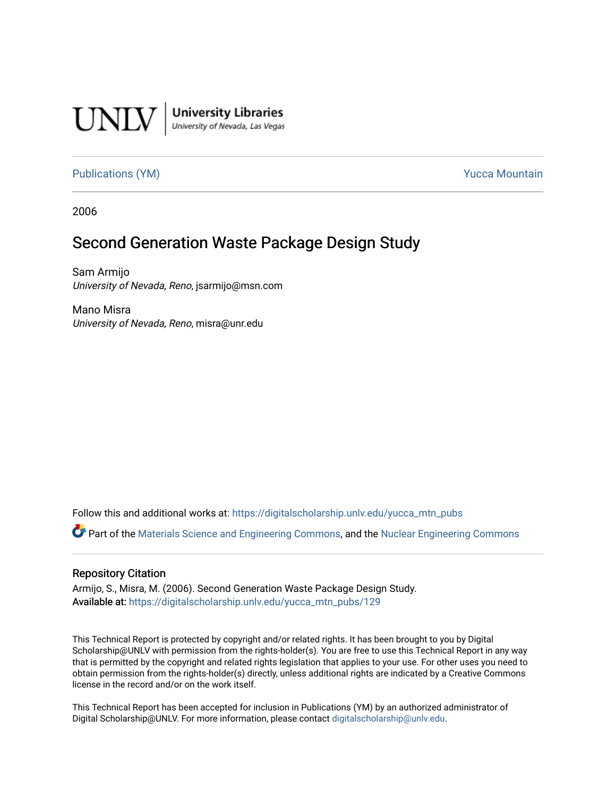

**University Libraries**<br>University of Nevada, Las Vegas

[Publications \(YM\)](https://digitalscholarship.unlv.edu/yucca_mtn_pubs) **Publications** (YM) **Publications** (YM)

2006

# Second Generation Waste Package Design Study

Sam Armijo University of Nevada, Reno, jsarmijo@msn.com

Mano Misra University of Nevada, Reno, misra@unr.edu

Follow this and additional works at: [https://digitalscholarship.unlv.edu/yucca\\_mtn\\_pubs](https://digitalscholarship.unlv.edu/yucca_mtn_pubs?utm_source=digitalscholarship.unlv.edu%2Fyucca_mtn_pubs%2F129&utm_medium=PDF&utm_campaign=PDFCoverPages)

Part of the [Materials Science and Engineering Commons,](http://network.bepress.com/hgg/discipline/285?utm_source=digitalscholarship.unlv.edu%2Fyucca_mtn_pubs%2F129&utm_medium=PDF&utm_campaign=PDFCoverPages) and the [Nuclear Engineering Commons](http://network.bepress.com/hgg/discipline/314?utm_source=digitalscholarship.unlv.edu%2Fyucca_mtn_pubs%2F129&utm_medium=PDF&utm_campaign=PDFCoverPages)

#### Repository Citation

Armijo, S., Misra, M. (2006). Second Generation Waste Package Design Study. Available at: [https://digitalscholarship.unlv.edu/yucca\\_mtn\\_pubs/129](https://digitalscholarship.unlv.edu/yucca_mtn_pubs/129) 

This Technical Report is protected by copyright and/or related rights. It has been brought to you by Digital Scholarship@UNLV with permission from the rights-holder(s). You are free to use this Technical Report in any way that is permitted by the copyright and related rights legislation that applies to your use. For other uses you need to obtain permission from the rights-holder(s) directly, unless additional rights are indicated by a Creative Commons license in the record and/or on the work itself.

This Technical Report has been accepted for inclusion in Publications (YM) by an authorized administrator of Digital Scholarship@UNLV. For more information, please contact [digitalscholarship@unlv.edu](mailto:digitalscholarship@unlv.edu).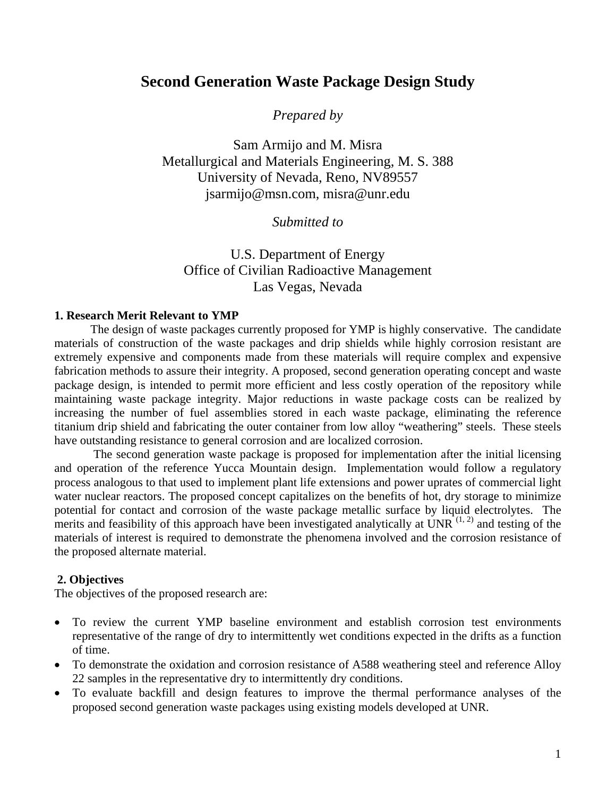## **Second Generation Waste Package Design Study**

*Prepared by* 

Sam Armijo and M. Misra Metallurgical and Materials Engineering, M. S. 388 University of Nevada, Reno, NV89557 jsarmijo@msn.com, misra@unr.edu

### *Submitted to*

## U.S. Department of Energy Office of Civilian Radioactive Management Las Vegas, Nevada

#### **1. Research Merit Relevant to YMP**

 The design of waste packages currently proposed for YMP is highly conservative. The candidate materials of construction of the waste packages and drip shields while highly corrosion resistant are extremely expensive and components made from these materials will require complex and expensive fabrication methods to assure their integrity. A proposed, second generation operating concept and waste package design, is intended to permit more efficient and less costly operation of the repository while maintaining waste package integrity. Major reductions in waste package costs can be realized by increasing the number of fuel assemblies stored in each waste package, eliminating the reference titanium drip shield and fabricating the outer container from low alloy "weathering" steels. These steels have outstanding resistance to general corrosion and are localized corrosion.

 The second generation waste package is proposed for implementation after the initial licensing and operation of the reference Yucca Mountain design. Implementation would follow a regulatory process analogous to that used to implement plant life extensions and power uprates of commercial light water nuclear reactors. The proposed concept capitalizes on the benefits of hot, dry storage to minimize potential for contact and corrosion of the waste package metallic surface by liquid electrolytes. The merits and feasibility of this approach have been investigated analytically at UNR  $^{(1, 2)}$  and testing of the materials of interest is required to demonstrate the phenomena involved and the corrosion resistance of the proposed alternate material.

#### **2. Objectives**

The objectives of the proposed research are:

- To review the current YMP baseline environment and establish corrosion test environments representative of the range of dry to intermittently wet conditions expected in the drifts as a function of time.
- To demonstrate the oxidation and corrosion resistance of A588 weathering steel and reference Alloy 22 samples in the representative dry to intermittently dry conditions.
- To evaluate backfill and design features to improve the thermal performance analyses of the proposed second generation waste packages using existing models developed at UNR.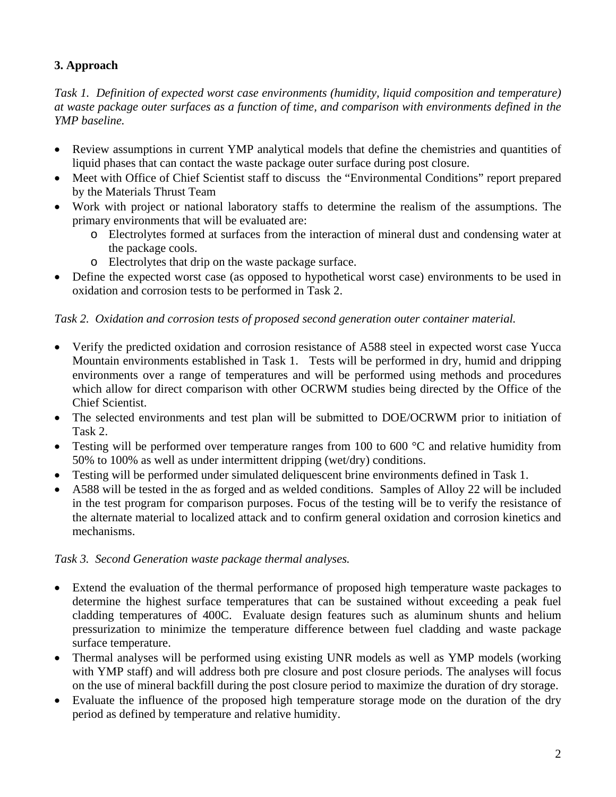## **3. Approach**

*Task 1. Definition of expected worst case environments (humidity, liquid composition and temperature) at waste package outer surfaces as a function of time, and comparison with environments defined in the YMP baseline.* 

- Review assumptions in current YMP analytical models that define the chemistries and quantities of liquid phases that can contact the waste package outer surface during post closure.
- Meet with Office of Chief Scientist staff to discuss the "Environmental Conditions" report prepared by the Materials Thrust Team
- Work with project or national laboratory staffs to determine the realism of the assumptions. The primary environments that will be evaluated are:
	- o Electrolytes formed at surfaces from the interaction of mineral dust and condensing water at the package cools.
	- o Electrolytes that drip on the waste package surface.
- Define the expected worst case (as opposed to hypothetical worst case) environments to be used in oxidation and corrosion tests to be performed in Task 2.

### *Task 2. Oxidation and corrosion tests of proposed second generation outer container material.*

- Verify the predicted oxidation and corrosion resistance of A588 steel in expected worst case Yucca Mountain environments established in Task 1. Tests will be performed in dry, humid and dripping environments over a range of temperatures and will be performed using methods and procedures which allow for direct comparison with other OCRWM studies being directed by the Office of the Chief Scientist.
- The selected environments and test plan will be submitted to DOE/OCRWM prior to initiation of Task 2.
- Testing will be performed over temperature ranges from 100 to 600 °C and relative humidity from 50% to 100% as well as under intermittent dripping (wet/dry) conditions.
- Testing will be performed under simulated deliquescent brine environments defined in Task 1.
- A588 will be tested in the as forged and as welded conditions. Samples of Alloy 22 will be included in the test program for comparison purposes. Focus of the testing will be to verify the resistance of the alternate material to localized attack and to confirm general oxidation and corrosion kinetics and mechanisms.

### *Task 3. Second Generation waste package thermal analyses.*

- Extend the evaluation of the thermal performance of proposed high temperature waste packages to determine the highest surface temperatures that can be sustained without exceeding a peak fuel cladding temperatures of 400C. Evaluate design features such as aluminum shunts and helium pressurization to minimize the temperature difference between fuel cladding and waste package surface temperature.
- Thermal analyses will be performed using existing UNR models as well as YMP models (working with YMP staff) and will address both pre closure and post closure periods. The analyses will focus on the use of mineral backfill during the post closure period to maximize the duration of dry storage.
- Evaluate the influence of the proposed high temperature storage mode on the duration of the dry period as defined by temperature and relative humidity.